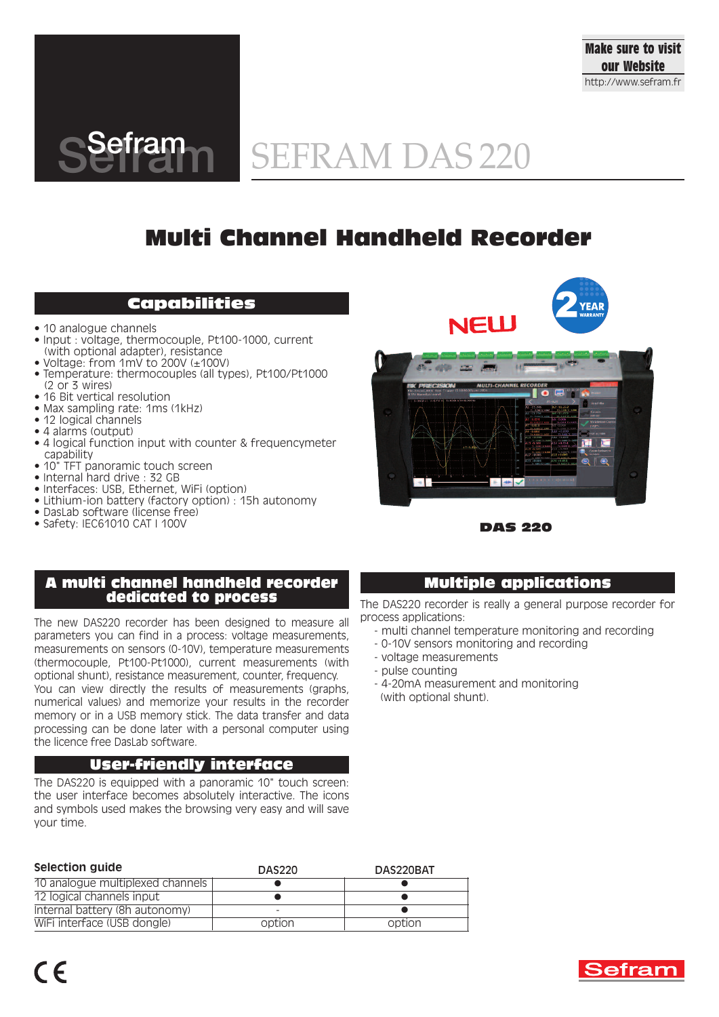



# SEFRAM DAS 220

# **Multi Channel Handheld Recorder**

## **Capabilities**

- 10 analogue channels
- Input : voltage, thermocouple, Pt100-1000, current (with optional adapter), resistance
- Voltage: from 1mV to 200V (±100V)
- Temperature: thermocouples (all types), Pt100/Pt1000
- (2 or 3 wires) • 16 Bit vertical resolution
- Max sampling rate: 1ms (1kHz)
- 12 logical channels
- 4 alarms (output)
- 4 logical function input with counter & frequencymeter capability
- 10" TFT panoramic touch screen
- Internal hard drive : 32 GB
- Interfaces: USB, Ethernet, WiFi (option)
- Lithium-ion battery (factory option) : 15h autonomy
- DasLab software (license free)
- Safety: IEC61010 CAT I 100V





**DAS 220**

## **A multi channel handheld recorder dedicated to process**

The new DAS220 recorder has been designed to measure all parameters you can find in a process: voltage measurements, measurements on sensors (0-10V), temperature measurements (thermocouple, Pt100-Pt1000), current measurements (with optional shunt), resistance measurement, counter, frequency.

You can view directly the results of measurements (graphs, numerical values) and memorize your results in the recorder memory or in a USB memory stick. The data transfer and data processing can be done later with a personal computer using the licence free DasLab software.

### **User-friendly interface**

The DAS220 is equipped with a panoramic 10" touch screen: the user interface becomes absolutely interactive. The icons and symbols used makes the browsing very easy and will save your time.

| Selection guide                  | <b>DAS220</b> | DAS220BAT |
|----------------------------------|---------------|-----------|
| 10 analogue multiplexed channels |               |           |
| 12 logical channels input        |               |           |
| Internal battery (8h autonomy)   |               |           |
| WiFi interface (USB dongle)      | option        | option    |

## **Multiple applications**

The DAS220 recorder is really a general purpose recorder for process applications:

- multi channel temperature monitoring and recording
- 0-10V sensors monitoring and recording
- voltage measurements
- pulse counting
- 4-20mA measurement and monitoring (with optional shunt).

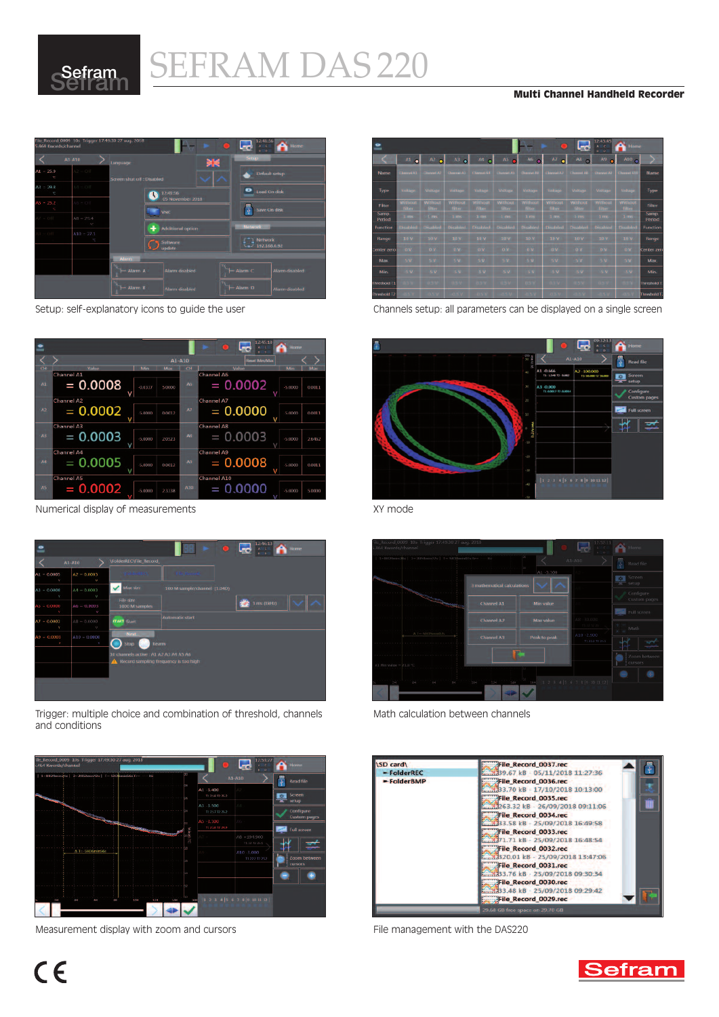

# SEFRAM DAS 220 <sup>S</sup> **Multi Channel Handheld Recorder**





Numerical display of measurements Numerical display of measurements



Trigger: multiple choice and combination of threshold, channels and conditions



Measurement display with zoom and cursors The Measurement with the DAS220



Setup: self-explanatory icons to guide the user Channels setup: all parameters can be displayed on a single screen





Math calculation between channels



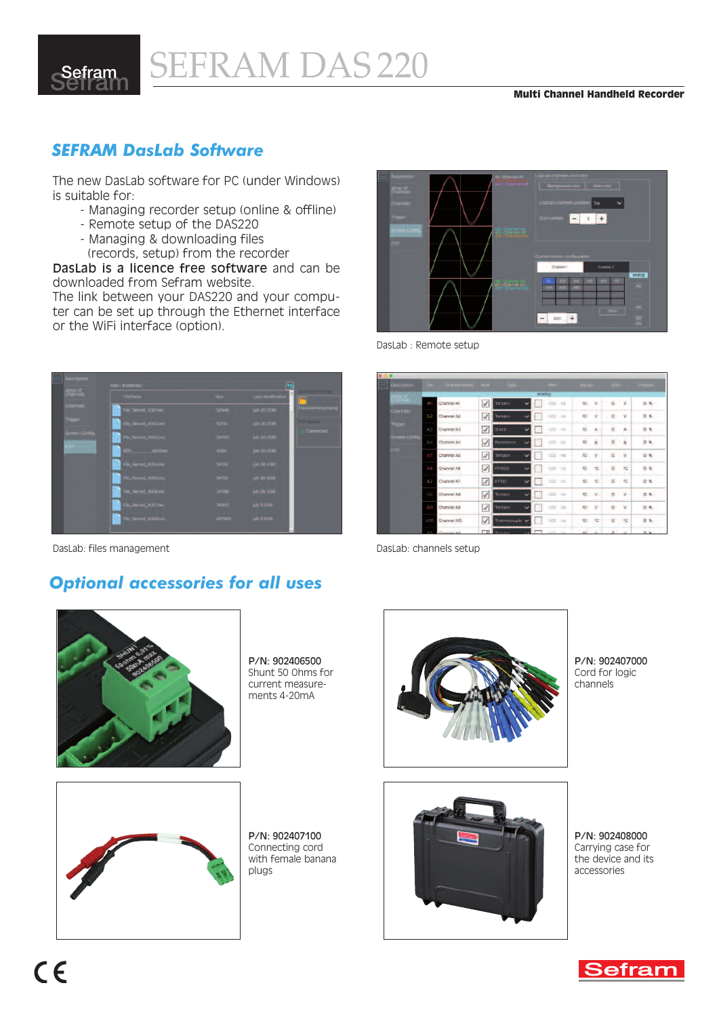

## *SEFRAM DasLab Software*

The new DasLab software for PC (under Windows) is suitable for:

- Managing recorder setup (online & offline)
- Remote setup of the DAS220
- Managing & downloading files
	- (records, setup) from the recorder

DasLab is a licence free software and can be downloaded from Sefram website.

The link between your DAS220 and your computer can be set up through the Ethernet interface or the WiFi interface (option).

| Description     | <b>Path: FolderRED</b>       |        |                   |                     |  |
|-----------------|------------------------------|--------|-------------------|---------------------|--|
| Aray of         | FileName:                    | Stree: | Last Modification | Destination folder  |  |
| <b>Channels</b> | File Record 000 trec         | 52944  | 1um 20 2016       | A/sensidevelopmenat |  |
| <b>Trigger</b>  | File_Record_0002.rec         | 5204   | juin 20 2016      | <b>FIP Status</b>   |  |
| Screen Config.  | File Rocord 0003.rec         | 50700  | Juin 20 20%       | Connected           |  |
| FIP.            | RRR DOOLrec                  | 41124  | juin 20 2016      |                     |  |
|                 | File Record 0004rec          | 34752  | jul. 06.2016      |                     |  |
|                 | <b>Rie: Record DOOS.rec.</b> | 34752  | jul. 06 2016      |                     |  |
|                 | File Record DOO6.nec         | 34788  | jul. 06 2016      |                     |  |
|                 | File_Record_0007.rec         | 35940  | Jul. 11-2016      |                     |  |
|                 | File Rocord OODB.roc         | 297954 | jul. 11 2010      |                     |  |

DasLab: files management DasLab: channels setup

## *Optional accessories for all uses*



P/N: 902406500 Shunt 50 Ohms for current measurements 4-20mA



DasLab : Remote setup

| <b>Description</b>   |     | CH Channel Name Actif Type |                         |                           | Filter:             | Range            |                 | zero           |              | Position       |
|----------------------|-----|----------------------------|-------------------------|---------------------------|---------------------|------------------|-----------------|----------------|--------------|----------------|
| Array of<br>Charmels |     |                            |                         |                           | analog              |                  |                 |                |              |                |
|                      | A1  | Channel All                | ✓                       | Tension                   | LOD<br>Ha           | 10 <sub>10</sub> | v               | $\mathbf{C}$   | V.           | <b>D %</b>     |
| Channels             | Α2  | Channel A2                 | V                       | Tension                   | 1,00 Hz             | 10               | v               | o              | $\mathbf{V}$ | 0%             |
| Trigger              | АЗ  | Channel A3                 | $\checkmark$            | Shunt                     | 100 Hz              | $\circ$          | $\mathcal{A}_k$ | $\circ$        | A            | 0%             |
| Screen Config.       | AА  | Channel A4                 | √                       | Resistance<br>$\check{ }$ | 1.00<br><b>Rd</b>   | 10               | $\Omega$        | $\alpha$       | $\Omega$     | 0.5.           |
| FTP.                 | Α5  | Channel A5                 | V                       | Tension<br>$\checkmark$   | 1.00 Hz             | 101              | v               | a              | $\mathbf{V}$ | 0 <sub>b</sub> |
|                      | А6  | Channel A6                 | √                       | PFI000                    | 1,00<br><b>Fig.</b> | 10               | ×               | o              | 1C           | $0 - 6$        |
|                      | ΑY  | Channel A7                 | $\overline{\mathsf{v}}$ | PT100                     | 1,00 Hz             | 10 <sup>o</sup>  | 舵               | $\bullet$      | PC.          | $0.5 -$        |
|                      | AB  | Channel AB                 | V                       | Tension<br>v              | 100 F <sub>2</sub>  | 10               | $\mathcal{N}$   |                | $C$ $V$      | 0.5.           |
|                      | AB  | Channel AB                 | √                       | Tension<br>$\checkmark$   | 1/20 Hz             | <b>10</b>        | v               | $\mathbf G$    | $\mathbf{v}$ | 日布             |
|                      | A10 | Channel AID                | $\overline{\checkmark}$ | Thermocouple v            | 1.00 Hz             | 10               | 80              | O.             | <b>SC</b>    | $0 - 5$        |
|                      | AH  | Channel Att                | $\overline{ }$          | Tomcken                   | 1/30 1/3            | AND I            | A.              | $\mathbf{K}$ . |              | 0.8            |



P/N: 902407000 Cord for logic channels



P/N: 902407100 Connecting cord with female banana plugs



P/N: 902408000 Carrying case for the device and its accessories